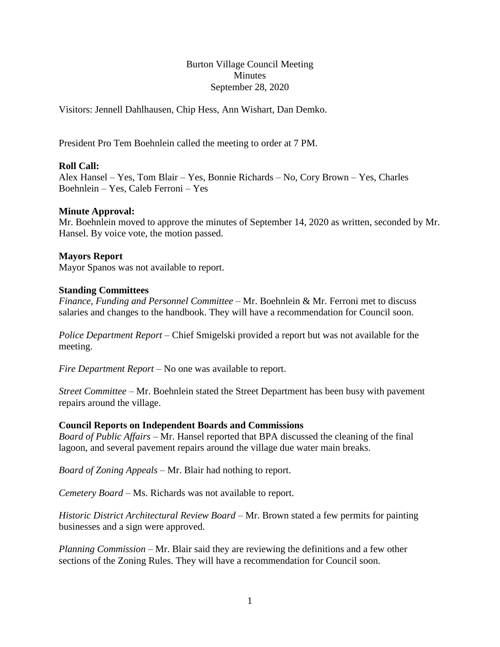Burton Village Council Meeting **Minutes** September 28, 2020

Visitors: Jennell Dahlhausen, Chip Hess, Ann Wishart, Dan Demko.

President Pro Tem Boehnlein called the meeting to order at 7 PM.

## **Roll Call:**

Alex Hansel – Yes, Tom Blair – Yes, Bonnie Richards – No, Cory Brown – Yes, Charles Boehnlein – Yes, Caleb Ferroni – Yes

### **Minute Approval:**

Mr. Boehnlein moved to approve the minutes of September 14, 2020 as written, seconded by Mr. Hansel. By voice vote, the motion passed.

#### **Mayors Report**

Mayor Spanos was not available to report.

#### **Standing Committees**

*Finance, Funding and Personnel Committee –* Mr. Boehnlein & Mr. Ferroni met to discuss salaries and changes to the handbook. They will have a recommendation for Council soon.

*Police Department Report –* Chief Smigelski provided a report but was not available for the meeting.

*Fire Department Report –* No one was available to report.

*Street Committee –* Mr. Boehnlein stated the Street Department has been busy with pavement repairs around the village.

#### **Council Reports on Independent Boards and Commissions**

*Board of Public Affairs –* Mr. Hansel reported that BPA discussed the cleaning of the final lagoon, and several pavement repairs around the village due water main breaks.

*Board of Zoning Appeals –* Mr. Blair had nothing to report.

*Cemetery Board –* Ms. Richards was not available to report.

*Historic District Architectural Review Board –* Mr. Brown stated a few permits for painting businesses and a sign were approved.

*Planning Commission –* Mr. Blair said they are reviewing the definitions and a few other sections of the Zoning Rules. They will have a recommendation for Council soon.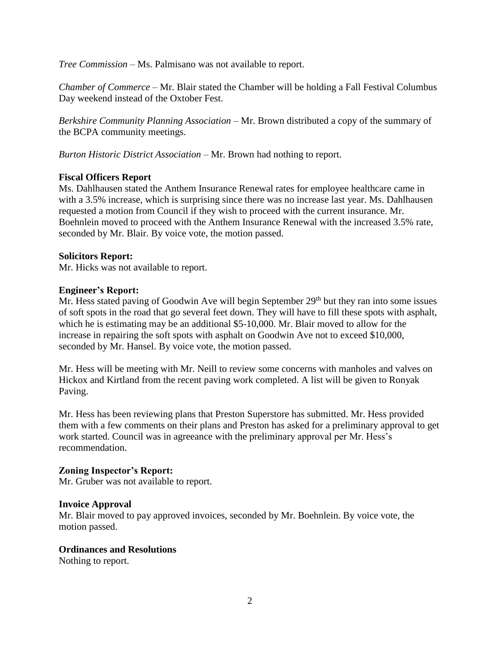*Tree Commission –* Ms. Palmisano was not available to report.

*Chamber of Commerce –* Mr. Blair stated the Chamber will be holding a Fall Festival Columbus Day weekend instead of the Oxtober Fest.

*Berkshire Community Planning Association –* Mr. Brown distributed a copy of the summary of the BCPA community meetings.

*Burton Historic District Association –* Mr. Brown had nothing to report.

# **Fiscal Officers Report**

Ms. Dahlhausen stated the Anthem Insurance Renewal rates for employee healthcare came in with a 3.5% increase, which is surprising since there was no increase last year. Ms. Dahlhausen requested a motion from Council if they wish to proceed with the current insurance. Mr. Boehnlein moved to proceed with the Anthem Insurance Renewal with the increased 3.5% rate, seconded by Mr. Blair. By voice vote, the motion passed.

### **Solicitors Report:**

Mr. Hicks was not available to report.

### **Engineer's Report:**

Mr. Hess stated paving of Goodwin Ave will begin September 29<sup>th</sup> but they ran into some issues of soft spots in the road that go several feet down. They will have to fill these spots with asphalt, which he is estimating may be an additional \$5-10,000. Mr. Blair moved to allow for the increase in repairing the soft spots with asphalt on Goodwin Ave not to exceed \$10,000, seconded by Mr. Hansel. By voice vote, the motion passed.

Mr. Hess will be meeting with Mr. Neill to review some concerns with manholes and valves on Hickox and Kirtland from the recent paving work completed. A list will be given to Ronyak Paving.

Mr. Hess has been reviewing plans that Preston Superstore has submitted. Mr. Hess provided them with a few comments on their plans and Preston has asked for a preliminary approval to get work started. Council was in agreeance with the preliminary approval per Mr. Hess's recommendation.

#### **Zoning Inspector's Report:**

Mr. Gruber was not available to report.

# **Invoice Approval**

Mr. Blair moved to pay approved invoices, seconded by Mr. Boehnlein. By voice vote, the motion passed.

#### **Ordinances and Resolutions**

Nothing to report.